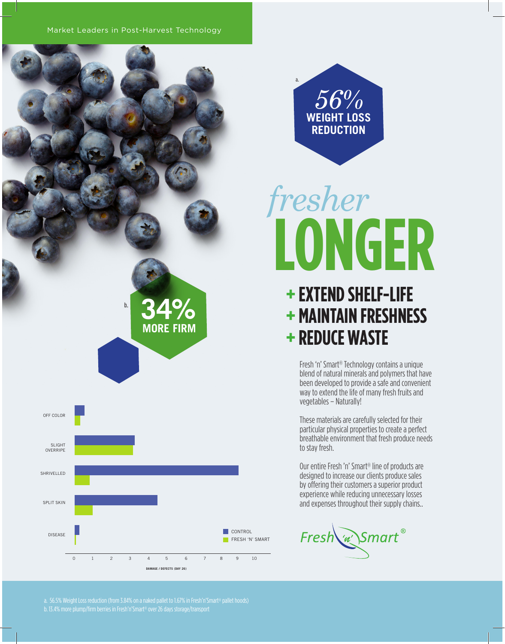Market Leaders in Post-Harvest Technology

## b. **34% MORE FIRM**



*56%* **WEIGHT LOSS REDUCTION**

a.

# **LONGER** *fresher*

#### **+ EXTEND SHELF-LIFE + MAINTAIN FRESHNESS + REDUCE WASTE**

Fresh 'n' Smart® Technology contains a unique blend of natural minerals and polymers that have been developed to provide a safe and convenient way to extend the life of many fresh fruits and vegetables – Naturally!

These materials are carefully selected for their particular physical properties to create a perfect breathable environment that fresh produce needs to stay fresh.

Our entire Fresh 'n' Smart® line of products are designed to increase our clients produce sales by offering their customers a superior product experience while reducing unnecessary losses and expenses throughout their supply chains..

Fresh w Smart®

a. 56.5% Weight Loss reduction (from 3.84% on a naked pallet to 1.67% in Fresh'n'Smart® pallet hoods)